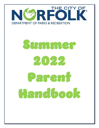

# Summer 2022 Parent Handbook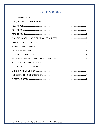# **Table of Contents**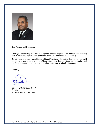

Dear Parents and Guardians,

Thank you for enrolling your child in this year's summer program. Staff have worked extremely hard to make the program an enjoyable and meaningful experience for your family.

Our objective is to teach your child something different each day so they leave the program with something of substance or a kernel of knowledge that will prepare them for life. Again, thank you for your support of our program. Here's looking forward to a fun filled summer!

Sincerely,

Darrell R. Crittendon, CPRP **Director** Norfolk Parks and Recreation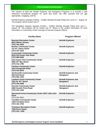# PROGRAM OVERVIEW

<span id="page-3-0"></span>The mission of both the Norfolk Explorers and Navigators Programs is to provide a safe interactive recreational program for youth and teens. We offer activities that are age appropriate, engaging, and fun.

Norfolk Explorers operates 8:00am – 6:00pm Monday through Friday from June 27 – August 19. The program will be closed July 4<sup>th</sup>.

The Navigators program operates 8:0oam – 6:00pm Monday through Friday from July 5 – August 19. The program will be closed July  $4<sup>th</sup>$ . Below is the contact information for each Recreation or Community Center and type of summer program offered.

| <b>Facility Name</b>                                                                        | <b>Program Offered</b>                            |
|---------------------------------------------------------------------------------------------|---------------------------------------------------|
| <b>Bayview Recreation Center</b><br><b>8613 Willow Terrace</b><br>(757) 441-1626            | <b>Norfolk Explorers</b>                          |
| <b>Berkley Community Center</b><br>121 W. Liberty Street<br>(757) 441-1612                  | <b>Norfolk Explorers</b>                          |
| <b>Crossroads Community Center</b><br>8019 Old Ocean View Road<br>(757) 965-9430            | <b>Norfolk Explorers</b>                          |
| <b>East Ocean View Community Center</b><br>9520 20th Bay Street<br>(757) 441-1785           | <b>Norfolk Explorers</b>                          |
| <b>Fairlawn Community Center</b><br>1014 Kempsville Road<br>(757) 441-5670                  | <b>Norfolk Explorers</b>                          |
| <b>Huntersville Community Center</b><br>830 Goff Street<br>(757) 664-7434                   | <b>Norfolk Explorers and</b><br><b>Navigators</b> |
| <b>Lamberts Point Community Center</b><br>1251 W. 42 <sup>nd</sup> Street<br>(757) 423-1088 | <b>Norfolk Explorers and</b><br><b>Navigators</b> |
| <b>Norview Community Center</b><br>6380 Sewells Point Road<br>(757) 441-1440                | <b>Norfolk Explorers and</b><br><b>Navigators</b> |
| <b>Sherwood Forest Community Center 4537 Little John</b><br><b>Drive</b><br>(757) 441-5824  | <b>Norfolk Explorers</b>                          |
| <b>Tarrallton Community Center</b><br><b>2100 Tarrallton Drive</b><br>(757) 441-1765        | <b>Norfolk Explorers</b>                          |
| <b>Titustown Recreation Center</b><br>7545 Diven Street<br>(757) 441-1259                   | <b>Norfolk Explorers</b>                          |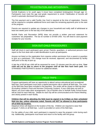#### REGISTRATION AND WITHDRAWAL

<span id="page-4-0"></span>Norfolk Explorers is for youth ages 5 (must have completed kindergarten) through age 12. Participants must meet the age and grade requirement to enroll. Falsification of records will result in automatic dismissal from program.

The first payment and a valid Facility Use Card is required at the time of registration. Parents will be required to complete additional forms and make the remaining payments prior to the start of the program.

Parents are required to update any changes to your household and notify staff of withdrawal at least two weeks prior to the last day of the attendance.

Norfolk Parks and Recreation (NPR) does not provide a written year-end statement for customers' tax preparation. The tax ID number is 54-600-1455. You will need to save payment receipts for your records.

# <span id="page-4-1"></span>SIGN OUT CHILD PROCEDURES

Staff will check in each participant upon arrival. Parents, guardians, or authorized persons must report to the front desk with a valid identification to pick up participants.

Anyone not listed on the registration form requires written permission from a parent or guardian to pick up a participant. This change must be received, approved, and documented by facility staff prior to the day of pick up.

A late fee of \$5.00 per child will be assessed for every 15 minutes past the pick-up time. **Your child will not be able to return to the program until all late fees have been paid.** See STRANDED PARTICIPANTS section for additional details.

# FIELD TRIPS

<span id="page-4-2"></span>Program participants will have an opportunity to attend various educational and recreational field trips. Each participant must have a signed permission slip to attend all field trips. The costs of the field trips have been included in the payment. The center will be closed on field trip days (Excluding Lambert's Point and Norview Community Centers). If your child does not wish to attend, you must make other arrangements. City of Norfolk vans or Norfolk Public School buses will be used for each field trip. Details for each trip will be communicated at the Parent Meeting and clearly posted in each facility.

**Children that will be attending the field must be signed in by 8:30am on their scheduled field trip day, unless otherwise noted. Parents will NOT be allowed to drop participants off at field trip location.** 

Departure times will depend on the location of the trip. Children are required to wear their program T-shirts on all field trips. Lunch is provided on some of the field trips.

For the safety of your child, each participant is required to wear the program t-shirt during each trip. Additionally, participants must leave and return to the facility with the group.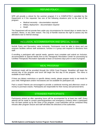### REFUND POLICY

<span id="page-5-0"></span>NPR will provide a refund for the summer program if it is COMPLETELY cancelled by the Department or if the requester has one of the following situations prior to the start of the program:

- Medical necessity documentation required
- Military deployment documentation required
- Death

The Department will not prorate fees under any circumstances for missed days or weeks due to vacation, illness, or any other reason. The City of Norfolk reserves the right to assess any fee alterations due to internal closings.

#### INCLUSION, ACCOMMODATION AND SPECIAL NEEDS

<span id="page-5-1"></span>Norfolk Parks and Recreation value inclusivity. Participants must be able to dress and use restroom facilities without staff assistance, function in a group and respond to directions from staff.

If enrolling a participant with special needs, parents must complete and submit an *Inclusion, Accommodation & Special Needs* form to the Therapeutic Recreation Center for processing by Certified Therapeutic Recreation Specialist at least 10 business days prior to start of program.

#### MEAL PROGRAM

<span id="page-5-2"></span>Nutritional meals will be provided through the USDA Food Program. Breakfast will begin the second day of the program and lunch will begin the first day of the program. The menu is available at each facility.

If there are dietary restrictions or specific dietary needs, please prepare ready to eat meals for your child. Refrigerators and/or microwaves are not available for participant use.

Pack a snack! Parents are encouraged to provide a nutritional morning and afternoon snack or money to purchase snacks. Participants are responsible for their money and personal items.

#### STRANDED PARTICIPANTS

<span id="page-5-3"></span>Participants picked up after operating hours will be accompanied by at least two staff. Every attempt will be made to contact parents/guardians and emergency contacts when a participant has not been picked up by the close of the program. Local authorities will be contacted thirty minutes after program closure and staff will follow the directions of the authorities.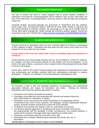# INCLEMENT WEATHER

<span id="page-6-0"></span>The City of Norfolk may close or cancel programs due to severe weather conditions or unforeseen circumstances. Parents/guardians will be notified to pick up their child within one hour if the need arises. If parents/guardians cannot be reached, staff will utilize the emergency contact list.

Inclement weather closures/re-openings are announced on Department and City websites, social media, radio, and television stations. NPR will not issue credit, transfer or refund for any day missed because of inclement weather. We encourage you to sign up for Norfolk Alerts to receive alerts about emergencies, facility closings and inclement weather updates. Parents are encourage to sign up for Norfolk Alert at https://member.everbridge.net/453003085612694/login

# ILLNESS AND MEDICATION

<span id="page-6-1"></span>Parents must pick up participants within one hour of being notified of an illness or temperature of 100.4 degrees or higher. Participants who have been sick with a fever must remain out of the program for 24 hours after the fever breaks.

**For the safety of all, keep your child home if they are exhibiting signs and symptoms of COVID-19.**

Certain illnesses and communicable diseases such as, but not limited to, COVID-19, ringworm, lice, pinkeye, and strep throat require parents to seek medical care for the participant. In the event of this type of illness, a physician's note is required before the participant will be permitted to return to the program.

Section §54.1-3408 of The Code of Virginia requires that medications be administered by health care professionals and prohibits untrained staff from administering medication to program participants. Therefore, no medication can be administered to participants by staff.

# PARTICIPANT, PARENTS, AND GUARDIAN BEHAVIOR

<span id="page-6-2"></span>For everyone to have a safe and enjoyable experience, all participants must demonstrate appropriate behavior and respect for themselves and others. Meeting the following expectations will provide the greatest opportunity for success.

- Participants must respect all people and property.
- Participants must follow the rules associated with activities and program areas and ask a staff member for clarification, if needed.
- Participants must communicate and conduct themselves in an appropriate manner. Threatening words, tone of voice, gestures, foul language, sexually inappropriate behavior, teasing, throwing of objects and physical contact will not be tolerated.
- Participants must promote and support a safe, fun, and healthy environment.
- Any behavior deemed aggressive or threatening will require immediate removal from the program/facility with the possibility of further consequences. Any unlawful behavior or activity will be reported to the appropriate legal authorities for further action.
- Participants must always follow the instructions of the staff.
- Participants are to maintain individual space and keep their hands, feet, etc. to themselves.

**Norfolk Explorers and Navigator Summer Program· Parent Handbook** 6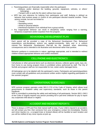- Parents/guardians are financially responsible when the participant:
	- oDefaces and/or destroys the building, grounds, equipment, vehicles, or others' belongings.
	- oTampers with or pulls the fire alarm without due cause.
- NPR has zero tolerance for bullying from participants and staff. Bullying is defined as behavior that involves power or control of one participant directed towards another. These actions include, but are not limited to:

oThreats

oSpreading rumors

overbal or physical attacks

oIntentional expulsion of an individual from a group activity

• Any inappropriate behavior can result in disciplinary action ranging from a warning, temporary suspension and/or expulsion from the program.

### BEHAVIORAL DEVELOPMENT PLAN

<span id="page-7-0"></span>Each parent will be provided a copy of the Behavioral Development Plan. Behavioral expectations and disciplinary actions are applied consistently, fairly and in a uniform manner. The Behavioral Development Plan will be the standard when determining consequences and is intended to be illustrative and directional rather than punitive.

Behavior guidance is constructive in nature, age/stage appropriate, and is intended to redirect children toward appropriate behavior and conflict resolution.

# CELL PHONE AND ELECTRONICS

<span id="page-7-1"></span>Cell phones or other personal items such as electronic devices, collector game cards, toys, etc. from home to use during program times is prohibited unless authorized by staff. The City of Norfolk and program staff are not responsible for lost, stolen and/or damaged items.

All belongings are to be labeled with the participant's name. Participants and parents/guardians must comply with all guidelines and procedures written and/or implied regarding participation in the summer program.

# OPERATIONAL GUIDELINES

<span id="page-7-2"></span>NPR summer program operates under §63.2-1715 of the Code of Virginia, which allows local governments to establish safety and supervisory standards, such as those in this parent handbook.

NPR is committed to protecting the safety and well-being of all participants. Section §63.1-248.3 of the Code of Virginia requires any person providing full or part-time childcare for pay to report any suspected child abuse or neglect.

# ACCIDENT AND INCIDENT REPORTS

<span id="page-7-3"></span>There is always a CPR and First Aide trained staff on duty. If your child is injured in an accident, we will contact you first, then someone from your emergency contact list immediately. Routine and minor injuries (i.e., a scraped knee or bruised elbow) will be handled at each location and you will be notified of any minor injuries at pick up.